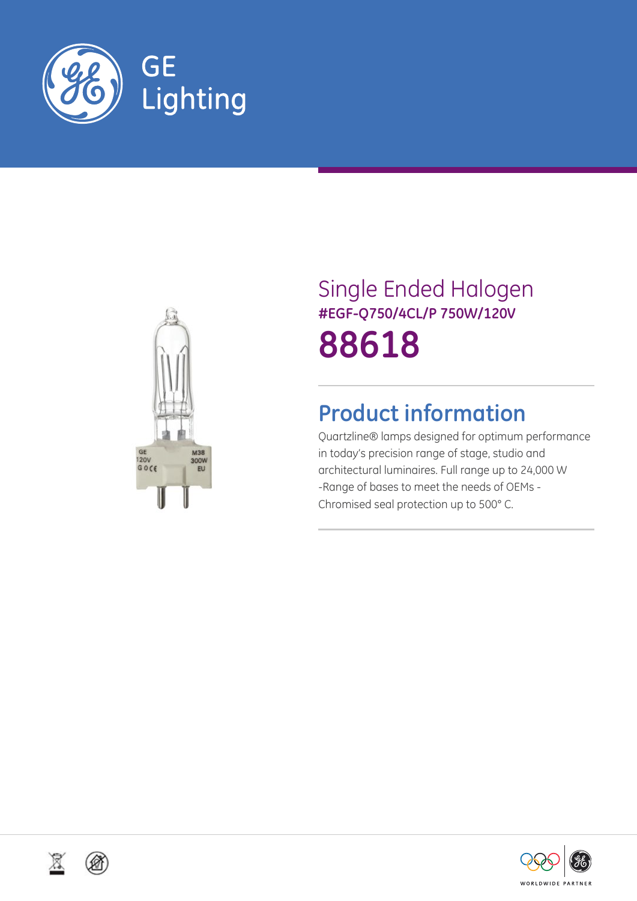



# Single Ended Halogen **#EGF-Q750/4CL/P 750W/120V 88618**

## **Product information**

Quartzline® lamps designed for optimum performance in today's precision range of stage, studio and architectural luminaires. Full range up to 24,000 W -Range of bases to meet the needs of OEMs - Chromised seal protection up to 500° C.





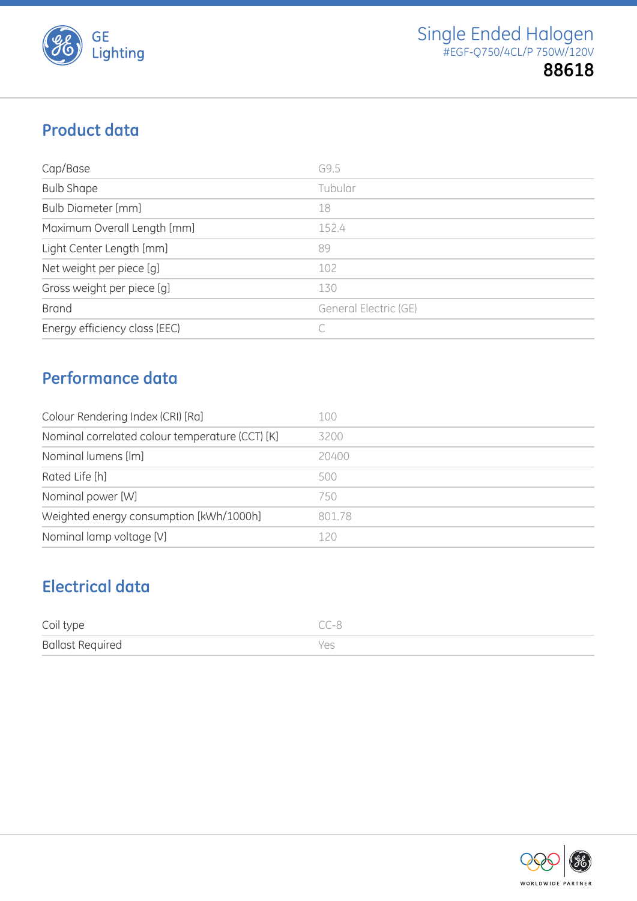

### **Product data**

| Cap/Base                      | G9.5                  |
|-------------------------------|-----------------------|
| <b>Bulb Shape</b>             | Tubular               |
| <b>Bulb Diameter [mm]</b>     | 18                    |
| Maximum Overall Length [mm]   | 152.4                 |
| Light Center Length [mm]      | 89                    |
| Net weight per piece [g]      | 102                   |
| Gross weight per piece [g]    | 130                   |
| <b>Brand</b>                  | General Electric (GE) |
| Energy efficiency class (EEC) |                       |

## **Performance data**

| Colour Rendering Index (CRI) [Ra]               | 100    |
|-------------------------------------------------|--------|
| Nominal correlated colour temperature (CCT) [K] | 3200   |
| Nominal lumens [lm]                             | 20400  |
| Rated Life [h]                                  | 500    |
| Nominal power [W]                               | 750    |
| Weighted energy consumption [kWh/1000h]         | 801.78 |
| Nominal lamp voltage [V]                        | 120    |

## **Electrical data**

| Coil type               | CC-8 |
|-------------------------|------|
| <b>Ballast Required</b> | Yes  |